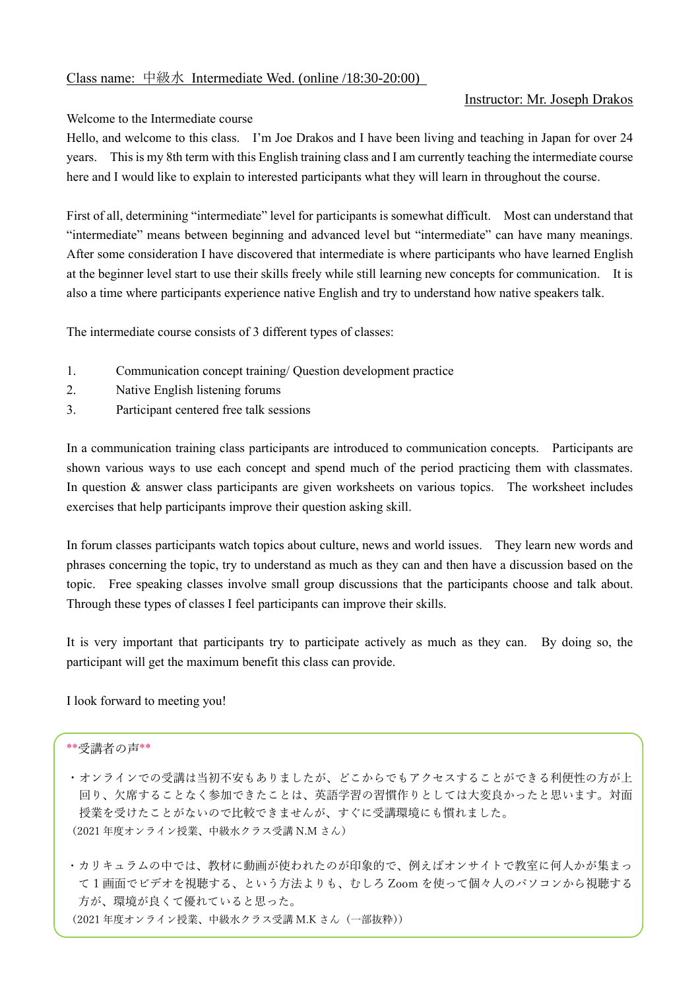## Instructor: Mr. Joseph Drakos

### Welcome to the Intermediate course

Hello, and welcome to this class. I'm Joe Drakos and I have been living and teaching in Japan for over 24 years. This is my 8th term with this English training class and I am currently teaching the intermediate course here and I would like to explain to interested participants what they will learn in throughout the course.

First of all, determining "intermediate" level for participants is somewhat difficult. Most can understand that "intermediate" means between beginning and advanced level but "intermediate" can have many meanings. After some consideration I have discovered that intermediate is where participants who have learned English at the beginner level start to use their skills freely while still learning new concepts for communication. It is also a time where participants experience native English and try to understand how native speakers talk.

The intermediate course consists of 3 different types of classes:

- 1. Communication concept training/ Question development practice
- 2. Native English listening forums
- 3. Participant centered free talk sessions

In a communication training class participants are introduced to communication concepts. Participants are shown various ways to use each concept and spend much of the period practicing them with classmates. In question & answer class participants are given worksheets on various topics. The worksheet includes exercises that help participants improve their question asking skill.

In forum classes participants watch topics about culture, news and world issues. They learn new words and phrases concerning the topic, try to understand as much as they can and then have a discussion based on the topic. Free speaking classes involve small group discussions that the participants choose and talk about. Through these types of classes I feel participants can improve their skills.

It is very important that participants try to participate actively as much as they can. By doing so, the participant will get the maximum benefit this class can provide.

I look forward to meeting you!

### \*\*受講者の声\*\*

- ・オンラインでの受講は当初不安もありましたが、どこからでもアクセスすることができる利便性の方が上 回り、欠席することなく参加できたことは、英語学習の習慣作りとしては大変良かったと思います。対面 授業を受けたことがないので比較できませんが、すぐに受講環境にも慣れました。 (2021 年度オンライン授業、中級水クラス受講 N.M さん)
- ・カリキュラムの中では、教材に動画が使われたのが印象的で、例えばオンサイトで教室に何人かが集まっ て 1 画面でビデオを視聴する、という方法よりも、むしろ Zoom を使って個々人のパソコンから視聴する 方が、環境が良くて優れていると思った。 (2021 年度オンライン授業、中級水クラス受講 M.K さん(一部抜粋))